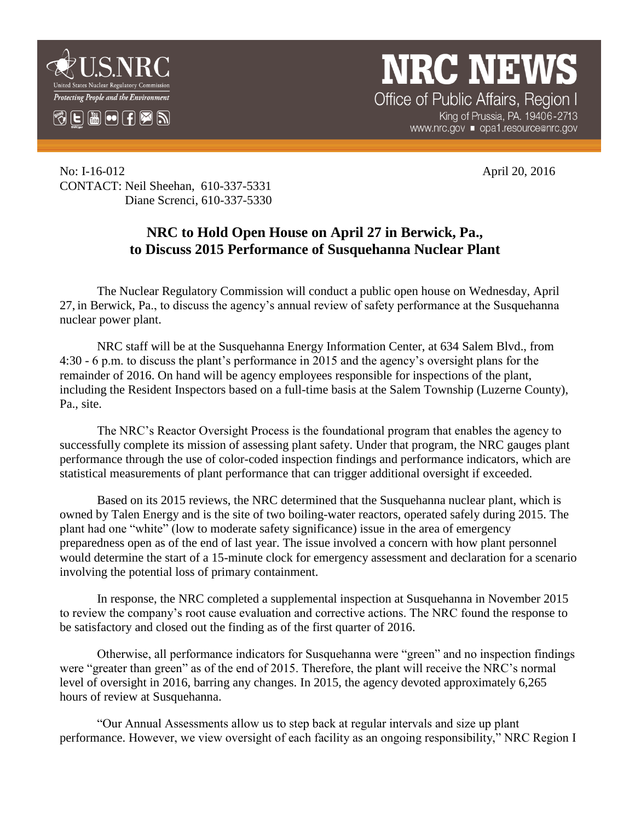

**NRC NEWS** Office of Public Affairs, Region I

King of Prussia, PA. 19406-2713 www.nrc.gov ■ opa1.resource@nrc.gov

No: I-16-012 April 20, 2016 CONTACT: Neil Sheehan, 610-337-5331 Diane Screnci, 610-337-5330

## **NRC to Hold Open House on April 27 in Berwick, Pa., to Discuss 2015 Performance of Susquehanna Nuclear Plant**

The Nuclear Regulatory Commission will conduct a public open house on Wednesday, April 27, in Berwick, Pa., to discuss the agency's annual review of safety performance at the Susquehanna nuclear power plant.

NRC staff will be at the Susquehanna Energy Information Center, at 634 Salem Blvd., from 4:30 - 6 p.m. to discuss the plant's performance in 2015 and the agency's oversight plans for the remainder of 2016. On hand will be agency employees responsible for inspections of the plant, including the Resident Inspectors based on a full-time basis at the Salem Township (Luzerne County), Pa., site.

The NRC's Reactor Oversight Process is the foundational program that enables the agency to successfully complete its mission of assessing plant safety. Under that program, the NRC gauges plant performance through the use of color-coded inspection findings and performance indicators, which are statistical measurements of plant performance that can trigger additional oversight if exceeded.

Based on its 2015 reviews, the NRC determined that the Susquehanna nuclear plant, which is owned by Talen Energy and is the site of two boiling-water reactors, operated safely during 2015. The plant had one "white" (low to moderate safety significance) issue in the area of emergency preparedness open as of the end of last year. The issue involved a concern with how plant personnel would determine the start of a 15-minute clock for emergency assessment and declaration for a scenario involving the potential loss of primary containment.

In response, the NRC completed a supplemental inspection at Susquehanna in November 2015 to review the company's root cause evaluation and corrective actions. The NRC found the response to be satisfactory and closed out the finding as of the first quarter of 2016.

Otherwise, all performance indicators for Susquehanna were "green" and no inspection findings were "greater than green" as of the end of 2015. Therefore, the plant will receive the NRC's normal level of oversight in 2016, barring any changes. In 2015, the agency devoted approximately 6,265 hours of review at Susquehanna.

"Our Annual Assessments allow us to step back at regular intervals and size up plant performance. However, we view oversight of each facility as an ongoing responsibility," NRC Region I